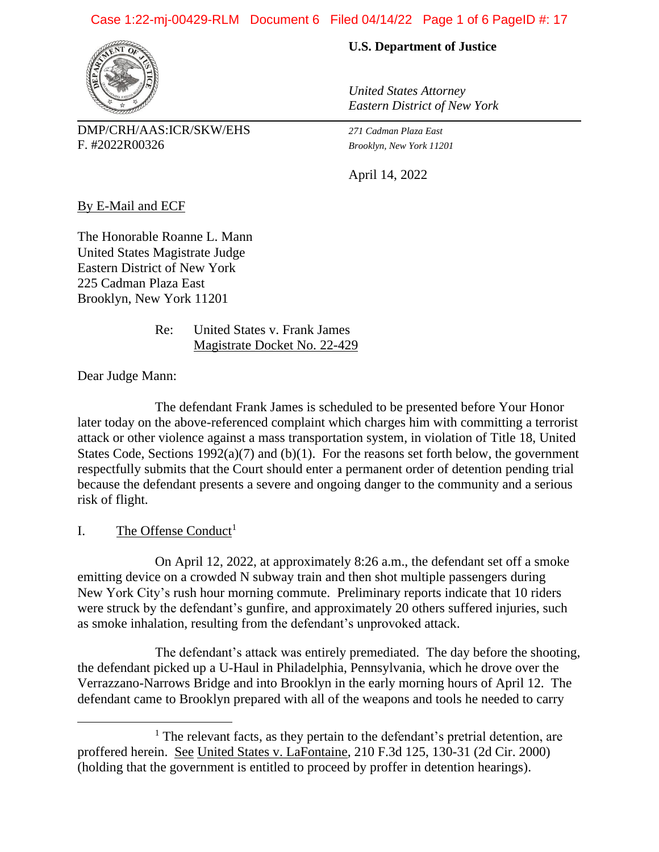#### Case 1:22-mj-00429-RLM Document 6 Filed 04/14/22 Page 1 of 6 PageID #: 17



DMP/CRH/AAS:ICR/SKW/EHS *271 Cadman Plaza East* F. #2022R00326 *Brooklyn, New York 11201*

#### **U.S. Department of Justice**

*United States Attorney Eastern District of New York*

April 14, 2022

By E-Mail and ECF

The Honorable Roanne L. Mann United States Magistrate Judge Eastern District of New York 225 Cadman Plaza East Brooklyn, New York 11201

> Re: United States v. Frank James Magistrate Docket No. 22-429

Dear Judge Mann:

The defendant Frank James is scheduled to be presented before Your Honor later today on the above-referenced complaint which charges him with committing a terrorist attack or other violence against a mass transportation system, in violation of Title 18, United States Code, Sections 1992(a)(7) and (b)(1). For the reasons set forth below, the government respectfully submits that the Court should enter a permanent order of detention pending trial because the defendant presents a severe and ongoing danger to the community and a serious risk of flight.

#### I. The Offense Conduct<sup>1</sup>

On April 12, 2022, at approximately 8:26 a.m., the defendant set off a smoke emitting device on a crowded N subway train and then shot multiple passengers during New York City's rush hour morning commute. Preliminary reports indicate that 10 riders were struck by the defendant's gunfire, and approximately 20 others suffered injuries, such as smoke inhalation, resulting from the defendant's unprovoked attack.

The defendant's attack was entirely premediated. The day before the shooting, the defendant picked up a U-Haul in Philadelphia, Pennsylvania, which he drove over the Verrazzano-Narrows Bridge and into Brooklyn in the early morning hours of April 12. The defendant came to Brooklyn prepared with all of the weapons and tools he needed to carry

 $<sup>1</sup>$  The relevant facts, as they pertain to the defendant's pretrial detention, are</sup> proffered herein. See United States v. LaFontaine, 210 F.3d 125, 130-31 (2d Cir. 2000) (holding that the government is entitled to proceed by proffer in detention hearings).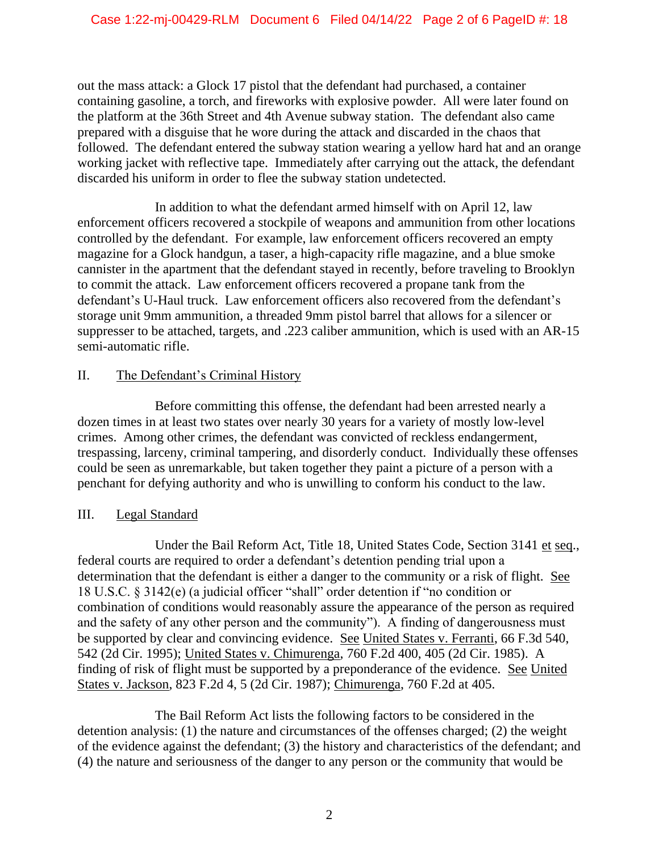out the mass attack: a Glock 17 pistol that the defendant had purchased, a container containing gasoline, a torch, and fireworks with explosive powder. All were later found on the platform at the 36th Street and 4th Avenue subway station. The defendant also came prepared with a disguise that he wore during the attack and discarded in the chaos that followed. The defendant entered the subway station wearing a yellow hard hat and an orange working jacket with reflective tape. Immediately after carrying out the attack, the defendant discarded his uniform in order to flee the subway station undetected.

In addition to what the defendant armed himself with on April 12, law enforcement officers recovered a stockpile of weapons and ammunition from other locations controlled by the defendant. For example, law enforcement officers recovered an empty magazine for a Glock handgun, a taser, a high-capacity rifle magazine, and a blue smoke cannister in the apartment that the defendant stayed in recently, before traveling to Brooklyn to commit the attack. Law enforcement officers recovered a propane tank from the defendant's U-Haul truck. Law enforcement officers also recovered from the defendant's storage unit 9mm ammunition, a threaded 9mm pistol barrel that allows for a silencer or suppresser to be attached, targets, and .223 caliber ammunition, which is used with an AR-15 semi-automatic rifle.

## II. The Defendant's Criminal History

Before committing this offense, the defendant had been arrested nearly a dozen times in at least two states over nearly 30 years for a variety of mostly low-level crimes. Among other crimes, the defendant was convicted of reckless endangerment, trespassing, larceny, criminal tampering, and disorderly conduct. Individually these offenses could be seen as unremarkable, but taken together they paint a picture of a person with a penchant for defying authority and who is unwilling to conform his conduct to the law.

# III. Legal Standard

Under the Bail Reform Act, Title 18, United States Code, Section 3141 et seq., federal courts are required to order a defendant's detention pending trial upon a determination that the defendant is either a danger to the community or a risk of flight. See 18 U.S.C. § 3142(e) (a judicial officer "shall" order detention if "no condition or combination of conditions would reasonably assure the appearance of the person as required and the safety of any other person and the community"). A finding of dangerousness must be supported by clear and convincing evidence. See United States v. Ferranti, 66 F.3d 540, 542 (2d Cir. 1995); United States v. Chimurenga, 760 F.2d 400, 405 (2d Cir. 1985). A finding of risk of flight must be supported by a preponderance of the evidence. See United States v. Jackson, 823 F.2d 4, 5 (2d Cir. 1987); Chimurenga, 760 F.2d at 405.

The Bail Reform Act lists the following factors to be considered in the detention analysis: (1) the nature and circumstances of the offenses charged; (2) the weight of the evidence against the defendant; (3) the history and characteristics of the defendant; and (4) the nature and seriousness of the danger to any person or the community that would be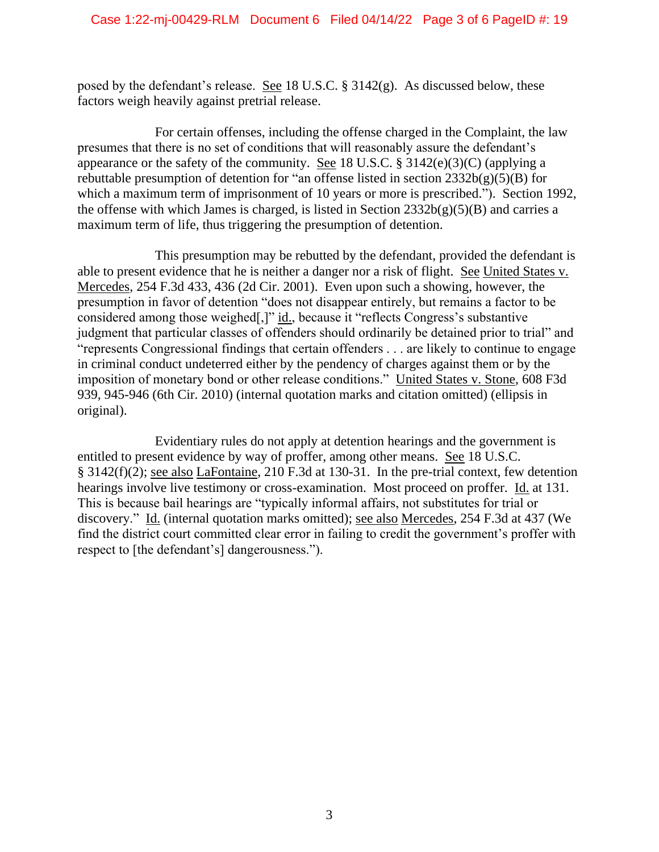posed by the defendant's release. See 18 U.S.C. § 3142(g). As discussed below, these factors weigh heavily against pretrial release.

For certain offenses, including the offense charged in the Complaint, the law presumes that there is no set of conditions that will reasonably assure the defendant's appearance or the safety of the community. See 18 U.S.C. § 3142(e)(3)(C) (applying a rebuttable presumption of detention for "an offense listed in section  $2332b(g)(5)(B)$  for which a maximum term of imprisonment of 10 years or more is prescribed."). Section 1992, the offense with which James is charged, is listed in Section  $2332b(g)(5)(B)$  and carries a maximum term of life, thus triggering the presumption of detention.

This presumption may be rebutted by the defendant, provided the defendant is able to present evidence that he is neither a danger nor a risk of flight. See United States v. Mercedes, 254 F.3d 433, 436 (2d Cir. 2001). Even upon such a showing, however, the presumption in favor of detention "does not disappear entirely, but remains a factor to be considered among those weighed[,]" id., because it "reflects Congress's substantive judgment that particular classes of offenders should ordinarily be detained prior to trial" and "represents Congressional findings that certain offenders . . . are likely to continue to engage in criminal conduct undeterred either by the pendency of charges against them or by the imposition of monetary bond or other release conditions." United States v. Stone, 608 F3d 939, 945-946 (6th Cir. 2010) (internal quotation marks and citation omitted) (ellipsis in original).

Evidentiary rules do not apply at detention hearings and the government is entitled to present evidence by way of proffer, among other means. See 18 U.S.C. § 3142(f)(2); see also LaFontaine, 210 F.3d at 130-31. In the pre-trial context, few detention hearings involve live testimony or cross-examination. Most proceed on proffer. Id. at 131. This is because bail hearings are "typically informal affairs, not substitutes for trial or discovery." Id. (internal quotation marks omitted); see also Mercedes, 254 F.3d at 437 (We find the district court committed clear error in failing to credit the government's proffer with respect to [the defendant's] dangerousness.").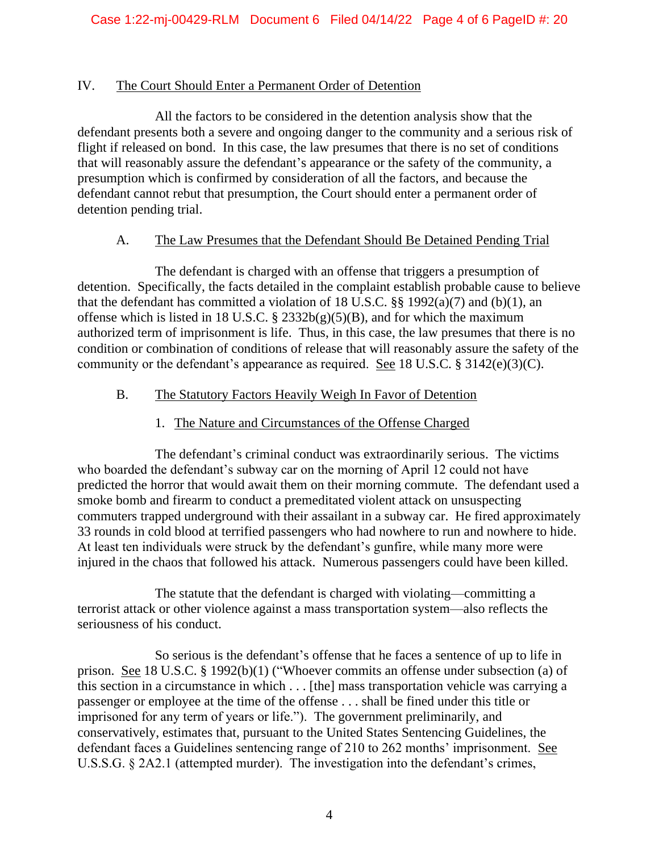### IV. The Court Should Enter a Permanent Order of Detention

All the factors to be considered in the detention analysis show that the defendant presents both a severe and ongoing danger to the community and a serious risk of flight if released on bond. In this case, the law presumes that there is no set of conditions that will reasonably assure the defendant's appearance or the safety of the community, a presumption which is confirmed by consideration of all the factors, and because the defendant cannot rebut that presumption, the Court should enter a permanent order of detention pending trial.

### A. The Law Presumes that the Defendant Should Be Detained Pending Trial

The defendant is charged with an offense that triggers a presumption of detention. Specifically, the facts detailed in the complaint establish probable cause to believe that the defendant has committed a violation of 18 U.S.C.  $\S$ § 1992(a)(7) and (b)(1), an offense which is listed in 18 U.S.C.  $\S$  2332b(g)(5)(B), and for which the maximum authorized term of imprisonment is life. Thus, in this case, the law presumes that there is no condition or combination of conditions of release that will reasonably assure the safety of the community or the defendant's appearance as required. See 18 U.S.C. § 3142(e)(3)(C).

### B. The Statutory Factors Heavily Weigh In Favor of Detention

## 1. The Nature and Circumstances of the Offense Charged

The defendant's criminal conduct was extraordinarily serious. The victims who boarded the defendant's subway car on the morning of April 12 could not have predicted the horror that would await them on their morning commute. The defendant used a smoke bomb and firearm to conduct a premeditated violent attack on unsuspecting commuters trapped underground with their assailant in a subway car. He fired approximately 33 rounds in cold blood at terrified passengers who had nowhere to run and nowhere to hide. At least ten individuals were struck by the defendant's gunfire, while many more were injured in the chaos that followed his attack. Numerous passengers could have been killed.

The statute that the defendant is charged with violating—committing a terrorist attack or other violence against a mass transportation system—also reflects the seriousness of his conduct.

So serious is the defendant's offense that he faces a sentence of up to life in prison. See 18 U.S.C. § 1992(b)(1) ("Whoever commits an offense under subsection (a) of this section in a circumstance in which . . . [the] mass transportation vehicle was carrying a passenger or employee at the time of the offense . . . shall be fined under this title or imprisoned for any term of years or life."). The government preliminarily, and conservatively, estimates that, pursuant to the United States Sentencing Guidelines, the defendant faces a Guidelines sentencing range of 210 to 262 months' imprisonment. See U.S.S.G. § 2A2.1 (attempted murder). The investigation into the defendant's crimes,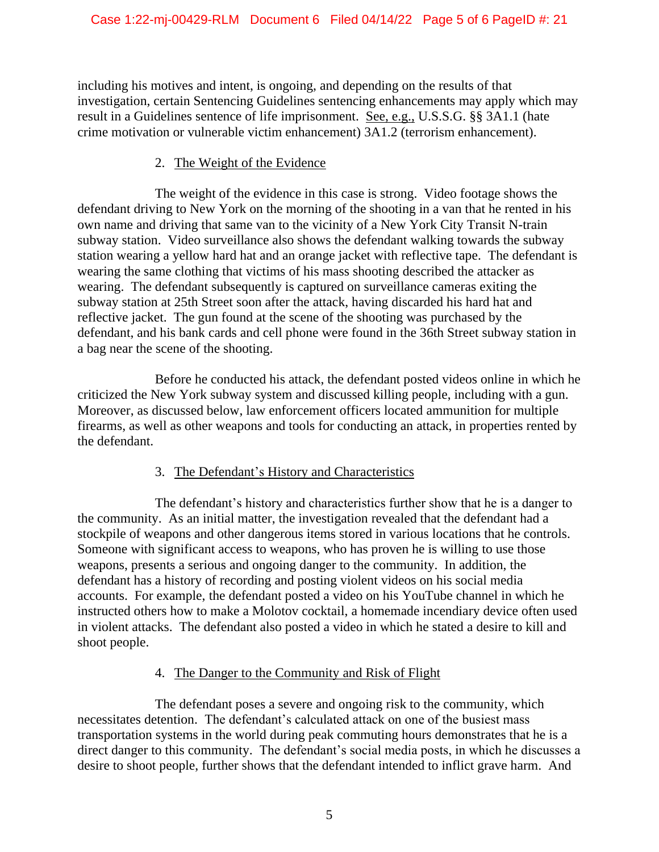including his motives and intent, is ongoing, and depending on the results of that investigation, certain Sentencing Guidelines sentencing enhancements may apply which may result in a Guidelines sentence of life imprisonment. See, e.g., U.S.S.G. §§ 3A1.1 (hate crime motivation or vulnerable victim enhancement) 3A1.2 (terrorism enhancement).

## 2. The Weight of the Evidence

The weight of the evidence in this case is strong. Video footage shows the defendant driving to New York on the morning of the shooting in a van that he rented in his own name and driving that same van to the vicinity of a New York City Transit N-train subway station. Video surveillance also shows the defendant walking towards the subway station wearing a yellow hard hat and an orange jacket with reflective tape. The defendant is wearing the same clothing that victims of his mass shooting described the attacker as wearing. The defendant subsequently is captured on surveillance cameras exiting the subway station at 25th Street soon after the attack, having discarded his hard hat and reflective jacket. The gun found at the scene of the shooting was purchased by the defendant, and his bank cards and cell phone were found in the 36th Street subway station in a bag near the scene of the shooting.

Before he conducted his attack, the defendant posted videos online in which he criticized the New York subway system and discussed killing people, including with a gun. Moreover, as discussed below, law enforcement officers located ammunition for multiple firearms, as well as other weapons and tools for conducting an attack, in properties rented by the defendant.

# 3. The Defendant's History and Characteristics

The defendant's history and characteristics further show that he is a danger to the community. As an initial matter, the investigation revealed that the defendant had a stockpile of weapons and other dangerous items stored in various locations that he controls. Someone with significant access to weapons, who has proven he is willing to use those weapons, presents a serious and ongoing danger to the community. In addition, the defendant has a history of recording and posting violent videos on his social media accounts. For example, the defendant posted a video on his YouTube channel in which he instructed others how to make a Molotov cocktail, a homemade incendiary device often used in violent attacks. The defendant also posted a video in which he stated a desire to kill and shoot people.

# 4. The Danger to the Community and Risk of Flight

The defendant poses a severe and ongoing risk to the community, which necessitates detention. The defendant's calculated attack on one of the busiest mass transportation systems in the world during peak commuting hours demonstrates that he is a direct danger to this community. The defendant's social media posts, in which he discusses a desire to shoot people, further shows that the defendant intended to inflict grave harm. And